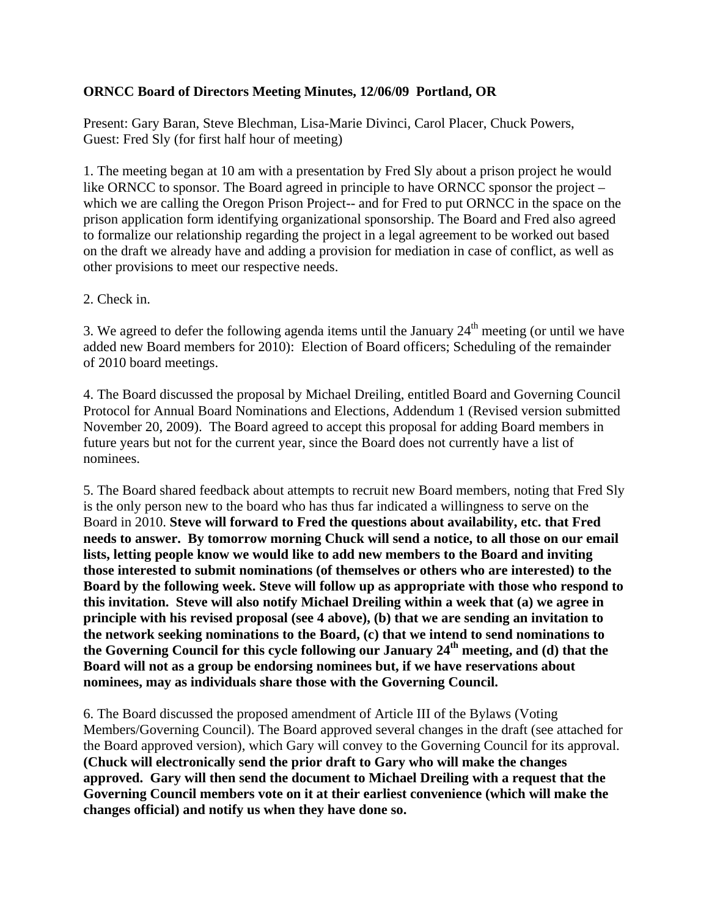## **ORNCC Board of Directors Meeting Minutes, 12/06/09 Portland, OR**

Present: Gary Baran, Steve Blechman, Lisa-Marie Divinci, Carol Placer, Chuck Powers, Guest: Fred Sly (for first half hour of meeting)

1. The meeting began at 10 am with a presentation by Fred Sly about a prison project he would like ORNCC to sponsor. The Board agreed in principle to have ORNCC sponsor the project – which we are calling the Oregon Prison Project-- and for Fred to put ORNCC in the space on the prison application form identifying organizational sponsorship. The Board and Fred also agreed to formalize our relationship regarding the project in a legal agreement to be worked out based on the draft we already have and adding a provision for mediation in case of conflict, as well as other provisions to meet our respective needs.

2. Check in.

3. We agreed to defer the following agenda items until the January  $24<sup>th</sup>$  meeting (or until we have added new Board members for 2010): Election of Board officers; Scheduling of the remainder of 2010 board meetings.

4. The Board discussed the proposal by Michael Dreiling, entitled Board and Governing Council Protocol for Annual Board Nominations and Elections, Addendum 1 (Revised version submitted November 20, 2009). The Board agreed to accept this proposal for adding Board members in future years but not for the current year, since the Board does not currently have a list of nominees.

5. The Board shared feedback about attempts to recruit new Board members, noting that Fred Sly is the only person new to the board who has thus far indicated a willingness to serve on the Board in 2010. **Steve will forward to Fred the questions about availability, etc. that Fred needs to answer. By tomorrow morning Chuck will send a notice, to all those on our email lists, letting people know we would like to add new members to the Board and inviting those interested to submit nominations (of themselves or others who are interested) to the Board by the following week. Steve will follow up as appropriate with those who respond to this invitation. Steve will also notify Michael Dreiling within a week that (a) we agree in principle with his revised proposal (see 4 above), (b) that we are sending an invitation to the network seeking nominations to the Board, (c) that we intend to send nominations to**  the Governing Council for this cycle following our January 24<sup>th</sup> meeting, and (d) that the **Board will not as a group be endorsing nominees but, if we have reservations about nominees, may as individuals share those with the Governing Council.** 

6. The Board discussed the proposed amendment of Article III of the Bylaws (Voting Members/Governing Council). The Board approved several changes in the draft (see attached for the Board approved version), which Gary will convey to the Governing Council for its approval. **(Chuck will electronically send the prior draft to Gary who will make the changes approved. Gary will then send the document to Michael Dreiling with a request that the Governing Council members vote on it at their earliest convenience (which will make the changes official) and notify us when they have done so.**